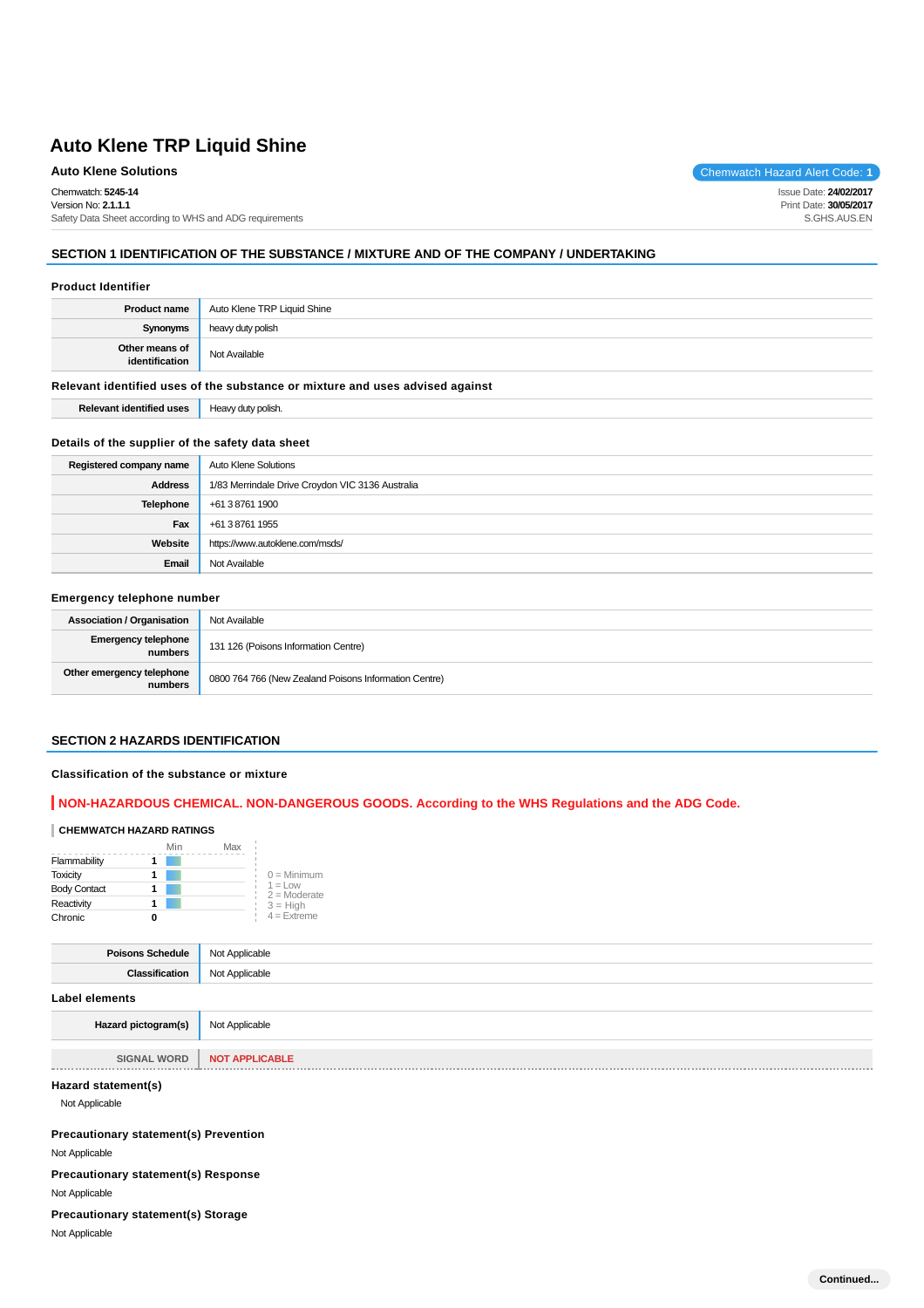Chemwatch: **5245-14** Version No: **2.1.1.1**

Safety Data Sheet according to WHS and ADG requirements

# **SECTION 1 IDENTIFICATION OF THE SUBSTANCE / MIXTURE AND OF THE COMPANY / UNDERTAKING**

#### **Product Identifier**

| <b>Product name</b>              | Auto Klene TRP Liquid Shine |
|----------------------------------|-----------------------------|
| <b>Synonyms</b>                  | heavy duty polish           |
| Other means of<br>identification | Not Available               |

#### **Relevant identified uses of the substance or mixture and uses advised against**

**Relevant identified uses** | Heavy duty polish.

#### **Details of the supplier of the safety data sheet**

| Registered company name | Auto Klene Solutions                             |
|-------------------------|--------------------------------------------------|
| <b>Address</b>          | 1/83 Merrindale Drive Croydon VIC 3136 Australia |
| Telephone               | +61 3 8761 1900                                  |
| Fax                     | +61 3 8761 1955                                  |
| Website                 | https://www.autoklene.com/msds/                  |
| Email                   | Not Available                                    |

# **Emergency telephone number**

| <b>Association / Organisation</b>    | Not Available                                         |
|--------------------------------------|-------------------------------------------------------|
| Emergency telephone<br>numbers       | 131 126 (Poisons Information Centre)                  |
| Other emergency telephone<br>numbers | 0800 764 766 (New Zealand Poisons Information Centre) |

## **SECTION 2 HAZARDS IDENTIFICATION**

### **Classification of the substance or mixture**

## **NON-HAZARDOUS CHEMICAL. NON-DANGEROUS GOODS. According to the WHS Regulations and the ADG Code.**

#### **CHEMWATCH HAZARD RATINGS**

|                     | Min | Max |                              |
|---------------------|-----|-----|------------------------------|
| Flammability        |     |     |                              |
| <b>Toxicity</b>     |     |     | $0 =$ Minimum                |
| <b>Body Contact</b> |     |     | $1 = 1$ ow<br>$2 =$ Moderate |
| Reactivity          |     |     | $3 = High$                   |
| Chronic             |     |     | $4$ = Extreme                |

| . |
|---|

#### **Label elements**

| Hazard pictogram(s) | Not Applicable |
|---------------------|----------------|

**SIGNAL WORD NOT APPLICABLE**

# **Hazard statement(s)**

Not Applicable

\_\_\_\_\_\_\_\_\_\_\_\_\_\_\_

# **Precautionary statement(s) Prevention**

Not Applicable

**Precautionary statement(s) Response**

#### Not Applicable

# **Precautionary statement(s) Storage**

Not Applicable

**Auto Klene Solutions** Chemwatch Hazard Alert Code: 1

Issue Date: **24/02/2017** Print Date: **30/05/2017** S.GHS.AUS.EN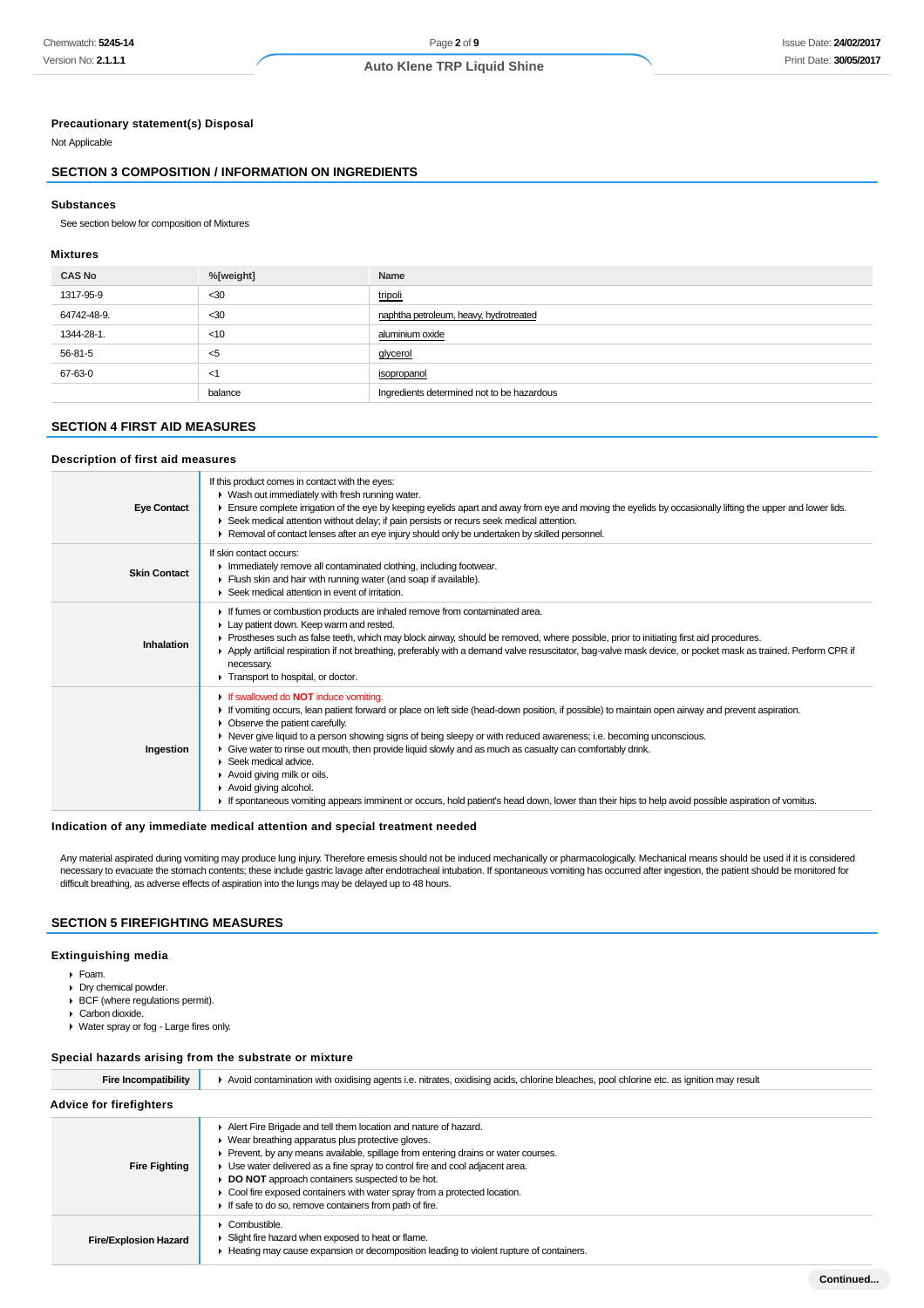# **Precautionary statement(s) Disposal**

Not Applicable

# **SECTION 3 COMPOSITION / INFORMATION ON INGREDIENTS**

#### **Substances**

See section below for composition of Mixtures

#### **Mixtures**

| <b>CAS No</b> | %[weight] | Name                                       |
|---------------|-----------|--------------------------------------------|
| 1317-95-9     | $30$      | tripoli                                    |
| 64742-48-9.   | $30$      | naphtha petroleum, heavy, hydrotreated     |
| 1344-28-1.    | $<$ 10    | aluminium oxide                            |
| 56-81-5       | <5        | <u>alycerol</u>                            |
| 67-63-0       | $<$ 1     | isopropanol                                |
|               | balance   | Ingredients determined not to be hazardous |

# **SECTION 4 FIRST AID MEASURES**

#### **Description of first aid measures**

| <b>Eye Contact</b>  | If this product comes in contact with the eyes:<br>• Wash out immediately with fresh running water.<br>Ensure complete irrigation of the eye by keeping eyelids apart and away from eye and moving the eyelids by occasionally lifting the upper and lower lids.<br>► Seek medical attention without delay; if pain persists or recurs seek medical attention.<br>► Removal of contact lenses after an eye injury should only be undertaken by skilled personnel.                                                                                                                                                                                                                                      |
|---------------------|--------------------------------------------------------------------------------------------------------------------------------------------------------------------------------------------------------------------------------------------------------------------------------------------------------------------------------------------------------------------------------------------------------------------------------------------------------------------------------------------------------------------------------------------------------------------------------------------------------------------------------------------------------------------------------------------------------|
| <b>Skin Contact</b> | If skin contact occurs:<br>Inmediately remove all contaminated clothing, including footwear.<br>Flush skin and hair with running water (and soap if available).<br>▶ Seek medical attention in event of irritation.                                                                                                                                                                                                                                                                                                                                                                                                                                                                                    |
| Inhalation          | If fumes or combustion products are inhaled remove from contaminated area.<br>Lay patient down. Keep warm and rested.<br>► Prostheses such as false teeth, which may block airway, should be removed, where possible, prior to initiating first aid procedures.<br>▶ Apply artificial respiration if not breathing, preferably with a demand valve resuscitator, bag-valve mask device, or pocket mask as trained. Perform CPR if<br>necessary.<br>Transport to hospital, or doctor.                                                                                                                                                                                                                   |
| Ingestion           | If swallowed do <b>NOT</b> induce vomiting.<br>If vomiting occurs, lean patient forward or place on left side (head-down position, if possible) to maintain open airway and prevent aspiration.<br>Observe the patient carefully.<br>Never give liquid to a person showing signs of being sleepy or with reduced awareness; i.e. becoming unconscious.<br>Give water to rinse out mouth, then provide liquid slowly and as much as casualty can comfortably drink.<br>Seek medical advice.<br>Avoid giving milk or oils.<br>Avoid giving alcohol.<br>If spontaneous vomiting appears imminent or occurs, hold patient's head down, lower than their hips to help avoid possible aspiration of vomitus. |

#### **Indication of any immediate medical attention and special treatment needed**

Any material aspirated during vomiting may produce lung injury. Therefore emesis should not be induced mechanically or pharmacologically. Mechanical means should be used if it is considered necessary to evacuate the stomach contents; these include gastric lavage after endotracheal intubation. If spontaneous vomiting has occurred after ingestion, the patient should be monitored for difficult breathing, as adverse effects of aspiration into the lungs may be delayed up to 48 hours.

# **SECTION 5 FIREFIGHTING MEASURES**

# **Extinguishing media**

- Foam.
- Dry chemical powder.
- BCF (where regulations permit).
- Carbon dioxide.
- Water spray or fog Large fires only.

#### **Special hazards arising from the substrate or mixture**

| <b>Fire Incompatibility</b>    | Avoid contamination with oxidising agents i.e. nitrates, oxidising acids, chlorine bleaches, pool chlorine etc. as ignition may result                                                                                                                                                                                                                                                                                                                                            |  |
|--------------------------------|-----------------------------------------------------------------------------------------------------------------------------------------------------------------------------------------------------------------------------------------------------------------------------------------------------------------------------------------------------------------------------------------------------------------------------------------------------------------------------------|--|
| <b>Advice for firefighters</b> |                                                                                                                                                                                                                                                                                                                                                                                                                                                                                   |  |
| <b>Fire Fighting</b>           | Alert Fire Brigade and tell them location and nature of hazard.<br>▶ Wear breathing apparatus plus protective gloves.<br>Prevent, by any means available, spillage from entering drains or water courses.<br>Use water delivered as a fine spray to control fire and cool adjacent area.<br>DO NOT approach containers suspected to be hot.<br>Cool fire exposed containers with water spray from a protected location.<br>If safe to do so, remove containers from path of fire. |  |
| <b>Fire/Explosion Hazard</b>   | Combustible.<br>Slight fire hazard when exposed to heat or flame.<br>Heating may cause expansion or decomposition leading to violent rupture of containers.                                                                                                                                                                                                                                                                                                                       |  |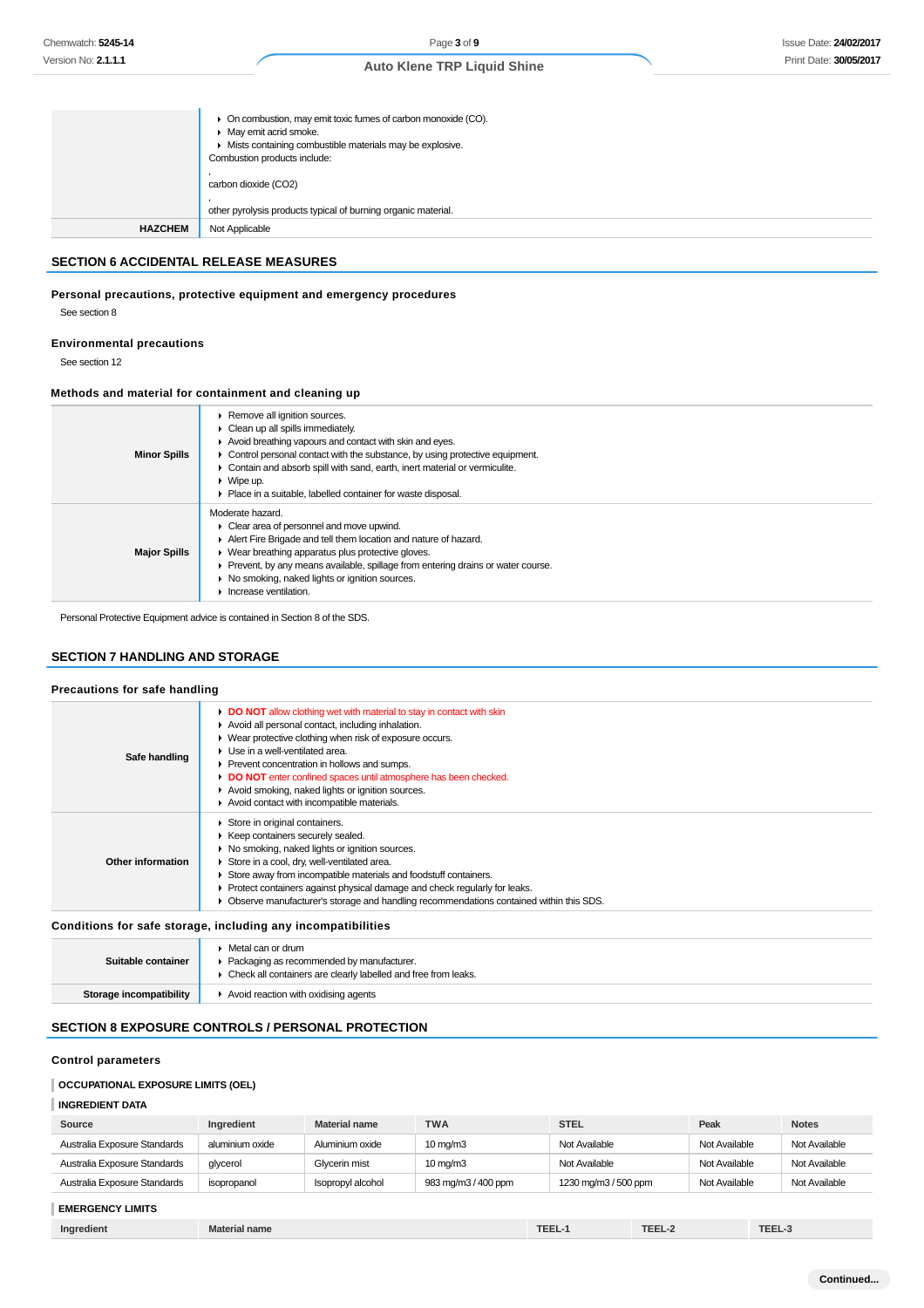|                | • On combustion, may emit toxic fumes of carbon monoxide (CO).<br>• May emit acrid smoke.<br>• Mists containing combustible materials may be explosive.<br>Combustion products include: |
|----------------|-----------------------------------------------------------------------------------------------------------------------------------------------------------------------------------------|
|                | carbon dioxide (CO2)                                                                                                                                                                    |
|                | other pyrolysis products typical of burning organic material.                                                                                                                           |
| <b>HAZCHEM</b> | Not Applicable                                                                                                                                                                          |

# **SECTION 6 ACCIDENTAL RELEASE MEASURES**

# **Personal precautions, protective equipment and emergency procedures**

See section 8

#### **Environmental precautions**

See section 12

# **Methods and material for containment and cleaning up**

| <b>Minor Spills</b> | ▶ Remove all ignition sources.<br>$\triangleright$ Clean up all spills immediately.<br>Avoid breathing vapours and contact with skin and eyes.<br>• Control personal contact with the substance, by using protective equipment.<br>• Contain and absorb spill with sand, earth, inert material or vermiculite.<br>$\triangleright$ Wipe up.<br>• Place in a suitable, labelled container for waste disposal. |
|---------------------|--------------------------------------------------------------------------------------------------------------------------------------------------------------------------------------------------------------------------------------------------------------------------------------------------------------------------------------------------------------------------------------------------------------|
| <b>Major Spills</b> | Moderate hazard.<br>$\triangleright$ Clear area of personnel and move upwind.<br>Alert Fire Brigade and tell them location and nature of hazard.<br>▶ Wear breathing apparatus plus protective gloves.<br>• Prevent, by any means available, spillage from entering drains or water course.<br>• No smoking, naked lights or ignition sources.<br>Increase ventilation.                                      |

Personal Protective Equipment advice is contained in Section 8 of the SDS.

# **SECTION 7 HANDLING AND STORAGE**

## **Precautions for safe handling**

| Safe handling                                                | DO NOT allow clothing wet with material to stay in contact with skin<br>Avoid all personal contact, including inhalation.<br>• Wear protective clothing when risk of exposure occurs.<br>$\blacktriangleright$ Use in a well-ventilated area.<br>▶ Prevent concentration in hollows and sumps.<br>DO NOT enter confined spaces until atmosphere has been checked.<br>Avoid smoking, naked lights or ignition sources.<br>Avoid contact with incompatible materials. |  |
|--------------------------------------------------------------|---------------------------------------------------------------------------------------------------------------------------------------------------------------------------------------------------------------------------------------------------------------------------------------------------------------------------------------------------------------------------------------------------------------------------------------------------------------------|--|
| Other information                                            | Store in original containers.<br>▶ Keep containers securely sealed.<br>▶ No smoking, naked lights or ignition sources.<br>Store in a cool, dry, well-ventilated area.<br>Store away from incompatible materials and foodstuff containers.<br>Protect containers against physical damage and check regularly for leaks.<br>Þ.<br>• Observe manufacturer's storage and handling recommendations contained within this SDS.                                            |  |
| Conditions for safe storage, including any incompatibilities |                                                                                                                                                                                                                                                                                                                                                                                                                                                                     |  |
|                                                              | ▶ Metal can or drum                                                                                                                                                                                                                                                                                                                                                                                                                                                 |  |

| Suitable container      | Packaging as recommended by manufacturer.<br>Check all containers are clearly labelled and free from leaks. |
|-------------------------|-------------------------------------------------------------------------------------------------------------|
| Storage incompatibility | $\blacktriangleright$ Avoid reaction with oxidising agents                                                  |

# **SECTION 8 EXPOSURE CONTROLS / PERSONAL PROTECTION**

# **Control parameters**

## **OCCUPATIONAL EXPOSURE LIMITS (OEL)**

## **INGREDIENT DATA**

| Source                       | Ingredient      | <b>Material name</b> | <b>TWA</b>          | <b>STEL</b>          | Peak          | <b>Notes</b>  |
|------------------------------|-----------------|----------------------|---------------------|----------------------|---------------|---------------|
| Australia Exposure Standards | aluminium oxide | Aluminium oxide      | $10 \text{ mg/m}$   | Not Available        | Not Available | Not Available |
| Australia Exposure Standards | glycerol        | Glycerin mist        | $10 \text{ mg/m}$ 3 | Not Available        | Not Available | Not Available |
| Australia Exposure Standards | isopropanol     | Isopropyl alcohol    | 983 mg/m3 / 400 ppm | 1230 mg/m3 / 500 ppm | Not Available | Not Available |
|                              |                 |                      |                     |                      |               |               |

# **EMERGENCY LIMITS**

| $-$<br>TE'<br>TEEL-2<br><b>TEE</b><br>Ingredient<br><b>Material name</b><br>'==-<br>المساحات |  |
|----------------------------------------------------------------------------------------------|--|
|----------------------------------------------------------------------------------------------|--|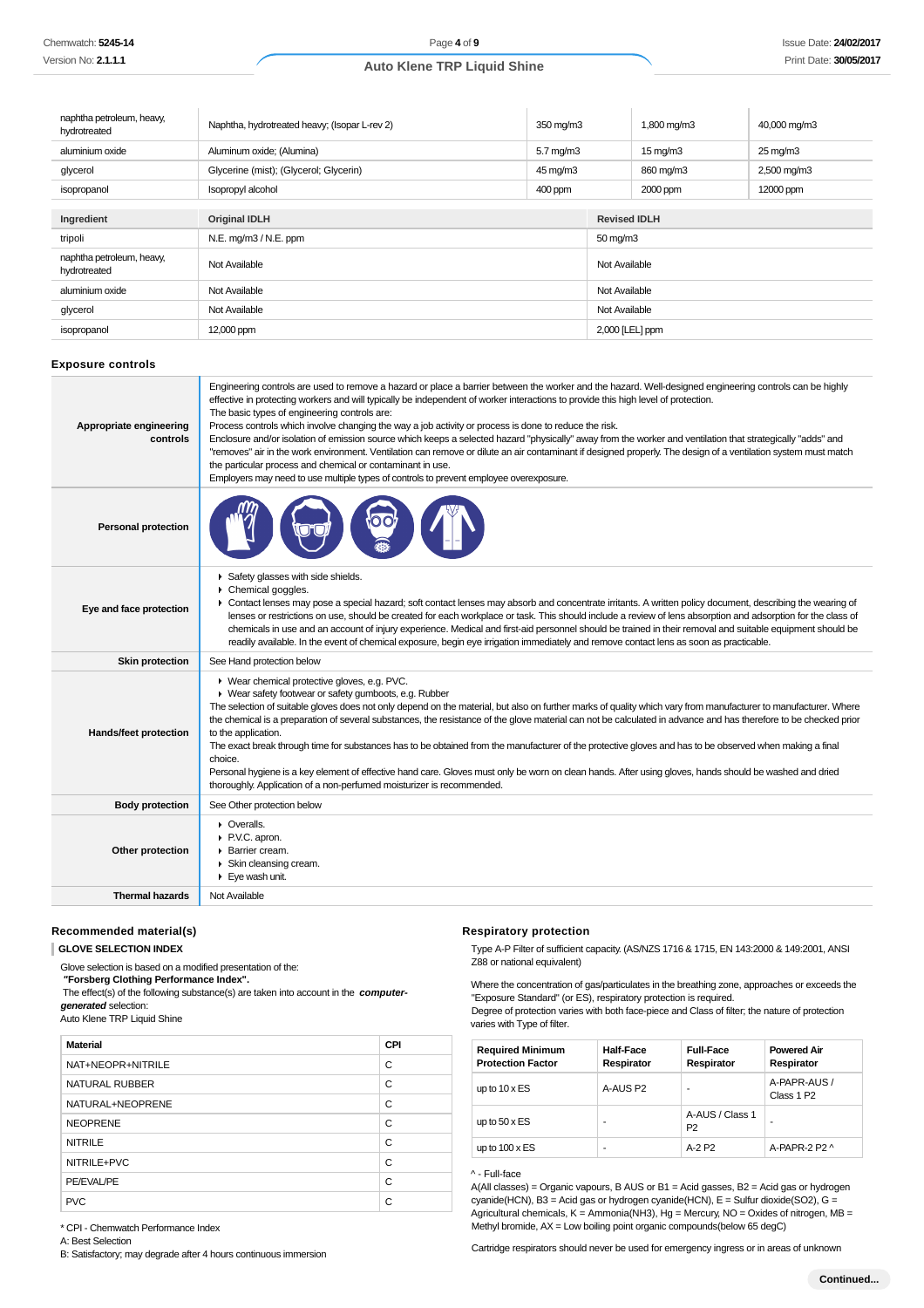| naphtha petroleum, heavy,<br>hydrotreated | Naphtha, hydrotreated heavy; (Isopar L-rev 2) | 350 mg/m3            |                     | 1,800 mg/m3         | 40,000 mg/m3           |  |
|-------------------------------------------|-----------------------------------------------|----------------------|---------------------|---------------------|------------------------|--|
| aluminium oxide                           | Aluminum oxide; (Alumina)                     | $5.7 \text{ mg/m}$ 3 |                     | $15 \text{ mg/m}$   | $25 \,\mathrm{mq/m}$ 3 |  |
| glycerol                                  | Glycerine (mist); (Glycerol; Glycerin)        | 45 mg/m3             |                     | 860 mg/m3           | 2,500 mg/m3            |  |
| isopropanol                               | Isopropyl alcohol                             | 400 ppm              |                     | 2000 ppm            | 12000 ppm              |  |
|                                           |                                               |                      |                     |                     |                        |  |
| Ingredient                                | <b>Original IDLH</b>                          |                      |                     | <b>Revised IDLH</b> |                        |  |
| tripoli                                   | $N.E.$ mg/m $3/N.E.$ ppm                      |                      | $50 \text{ mg/m}$ 3 |                     |                        |  |
| naphtha petroleum, heavy,<br>hydrotreated | Not Available                                 |                      | Not Available       |                     |                        |  |
| aluminium oxide                           | Not Available                                 |                      | Not Available       |                     |                        |  |
| glycerol                                  | Not Available                                 |                      | Not Available       |                     |                        |  |
| isopropanol                               | 12,000 ppm                                    |                      | 2,000 [LEL] ppm     |                     |                        |  |

## **Exposure controls**

| Appropriate engineering<br>controls | Engineering controls are used to remove a hazard or place a barrier between the worker and the hazard. Well-designed engineering controls can be highly<br>effective in protecting workers and will typically be independent of worker interactions to provide this high level of protection.<br>The basic types of engineering controls are:<br>Process controls which involve changing the way a job activity or process is done to reduce the risk.<br>Enclosure and/or isolation of emission source which keeps a selected hazard "physically" away from the worker and ventilation that strategically "adds" and<br>"removes" air in the work environment. Ventilation can remove or dilute an air contaminant if designed properly. The design of a ventilation system must match<br>the particular process and chemical or contaminant in use.<br>Employers may need to use multiple types of controls to prevent employee overexposure. |
|-------------------------------------|-------------------------------------------------------------------------------------------------------------------------------------------------------------------------------------------------------------------------------------------------------------------------------------------------------------------------------------------------------------------------------------------------------------------------------------------------------------------------------------------------------------------------------------------------------------------------------------------------------------------------------------------------------------------------------------------------------------------------------------------------------------------------------------------------------------------------------------------------------------------------------------------------------------------------------------------------|
| <b>Personal protection</b>          |                                                                                                                                                                                                                                                                                                                                                                                                                                                                                                                                                                                                                                                                                                                                                                                                                                                                                                                                                 |
| Eye and face protection             | Safety glasses with side shields.<br>Chemical goggles.<br>• Contact lenses may pose a special hazard; soft contact lenses may absorb and concentrate irritants. A written policy document, describing the wearing of<br>lenses or restrictions on use, should be created for each workplace or task. This should include a review of lens absorption and adsorption for the class of<br>chemicals in use and an account of injury experience. Medical and first-aid personnel should be trained in their removal and suitable equipment should be<br>readily available. In the event of chemical exposure, begin eye irrigation immediately and remove contact lens as soon as practicable.                                                                                                                                                                                                                                                     |
| <b>Skin protection</b>              | See Hand protection below                                                                                                                                                                                                                                                                                                                                                                                                                                                                                                                                                                                                                                                                                                                                                                                                                                                                                                                       |
| Hands/feet protection               | ▶ Wear chemical protective gloves, e.g. PVC.<br>• Wear safety footwear or safety gumboots, e.g. Rubber<br>The selection of suitable gloves does not only depend on the material, but also on further marks of quality which vary from manufacturer to manufacturer. Where<br>the chemical is a preparation of several substances, the resistance of the glove material can not be calculated in advance and has therefore to be checked prior<br>to the application.<br>The exact break through time for substances has to be obtained from the manufacturer of the protective gloves and has to be observed when making a final<br>choice.<br>Personal hygiene is a key element of effective hand care. Gloves must only be worn on clean hands. After using gloves, hands should be washed and dried<br>thoroughly. Application of a non-perfumed moisturizer is recommended.                                                                 |
| <b>Body protection</b>              | See Other protection below                                                                                                                                                                                                                                                                                                                                                                                                                                                                                                                                                                                                                                                                                                                                                                                                                                                                                                                      |
| Other protection                    | • Overalls.<br>P.V.C. apron.<br>Barrier cream.<br>Skin cleansing cream.<br>$\blacktriangleright$ Eye wash unit.                                                                                                                                                                                                                                                                                                                                                                                                                                                                                                                                                                                                                                                                                                                                                                                                                                 |
| <b>Thermal hazards</b>              | Not Available                                                                                                                                                                                                                                                                                                                                                                                                                                                                                                                                                                                                                                                                                                                                                                                                                                                                                                                                   |

#### **Recommended material(s)**

**GLOVE SELECTION INDEX**

Glove selection is based on a modified presentation of the:

 **"Forsberg Clothing Performance Index".**

 The effect(s) of the following substance(s) are taken into account in the **computergenerated** selection:

Auto Klene TRP Liquid Shine

| <b>Material</b>   | CPI |
|-------------------|-----|
| NAT+NEOPR+NITRILE | C   |
| NATURAL RUBBER    | C   |
| NATURAL+NEOPRENE  | C   |
| <b>NEOPRENE</b>   | C   |
| <b>NITRILE</b>    | C   |
| NITRILE+PVC       | С   |
| PE/EVAL/PE        | С   |
| <b>PVC</b>        | C   |

#### **Respiratory protection**

Type A-P Filter of sufficient capacity. (AS/NZS 1716 & 1715, EN 143:2000 & 149:2001, ANSI Z88 or national equivalent)

Where the concentration of gas/particulates in the breathing zone, approaches or exceeds the "Exposure Standard" (or ES), respiratory protection is required.

Degree of protection varies with both face-piece and Class of filter; the nature of protection varies with Type of filter.

| <b>Required Minimum</b><br><b>Protection Factor</b> | <b>Half-Face</b><br>Respirator | <b>Full-Face</b><br>Respirator    | <b>Powered Air</b><br>Respirator       |
|-----------------------------------------------------|--------------------------------|-----------------------------------|----------------------------------------|
| up to $10 \times ES$                                | A-AUS P2                       |                                   | A-PAPR-AUS /<br>Class 1 P <sub>2</sub> |
| up to $50 \times ES$                                | ۰                              | A-AUS / Class 1<br>P <sub>2</sub> |                                        |
| up to $100 \times ES$                               | ۰                              | $A-2P2$                           | A-PAPR-2 P2 ^                          |

#### ^ - Full-face

A(All classes) = Organic vapours, B AUS or B1 = Acid gasses, B2 = Acid gas or hydrogen cyanide(HCN), B3 = Acid gas or hydrogen cyanide(HCN), E = Sulfur dioxide(SO2), G = Agricultural chemicals,  $K =$  Ammonia(NH3), Hg = Mercury, NO = Oxides of nitrogen, MB = Methyl bromide, AX = Low boiling point organic compounds(below 65 degC)

\* CPI - Chemwatch Performance Index

A: Best Selection

B: Satisfactory; may degrade after 4 hours continuous immersion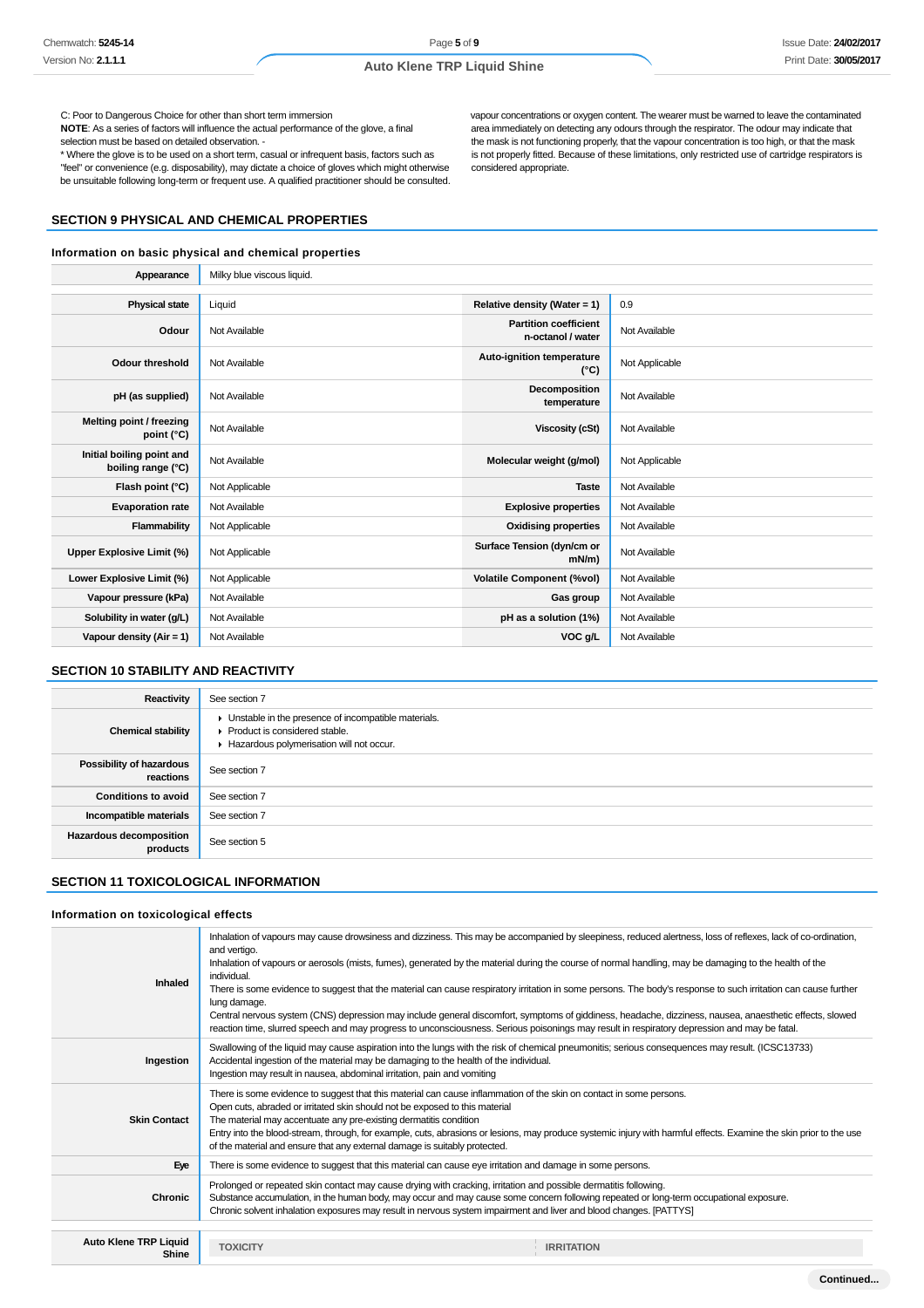C: Poor to Dangerous Choice for other than short term immersion

**NOTE**: As a series of factors will influence the actual performance of the glove, a final selection must be based on detailed observation. -

\* Where the glove is to be used on a short term, casual or infrequent basis, factors such as "feel" or convenience (e.g. disposability), may dictate a choice of gloves which might otherwise be unsuitable following long-term or frequent use. A qualified practitioner should be consulted.

## **SECTION 9 PHYSICAL AND CHEMICAL PROPERTIES**

#### **Information on basic physical and chemical properties**

vapour concentrations or oxygen content. The wearer must be warned to leave the contaminated area immediately on detecting any odours through the respirator. The odour may indicate that the mask is not functioning properly, that the vapour concentration is too high, or that the mask is not properly fitted. Because of these limitations, only restricted use of cartridge respirators is considered appropriate.

| Appearance                                      | Milky blue viscous liquid. |                                                   |                |
|-------------------------------------------------|----------------------------|---------------------------------------------------|----------------|
|                                                 |                            |                                                   |                |
| <b>Physical state</b>                           | Liquid                     | Relative density (Water = 1)                      | 0.9            |
| Odour                                           | Not Available              | <b>Partition coefficient</b><br>n-octanol / water | Not Available  |
| <b>Odour threshold</b>                          | Not Available              | Auto-ignition temperature<br>$(^{\circ}C)$        | Not Applicable |
| pH (as supplied)                                | Not Available              | Decomposition<br>temperature                      | Not Available  |
| Melting point / freezing<br>point $(^{\circ}C)$ | Not Available              | <b>Viscosity (cSt)</b>                            | Not Available  |
| Initial boiling point and<br>boiling range (°C) | Not Available              | Molecular weight (g/mol)                          | Not Applicable |
| Flash point (°C)                                | Not Applicable             | <b>Taste</b>                                      | Not Available  |
| <b>Evaporation rate</b>                         | Not Available              | <b>Explosive properties</b>                       | Not Available  |
| Flammability                                    | Not Applicable             | <b>Oxidising properties</b>                       | Not Available  |
| Upper Explosive Limit (%)                       | Not Applicable             | Surface Tension (dyn/cm or<br>$mN/m$ )            | Not Available  |
| Lower Explosive Limit (%)                       | Not Applicable             | <b>Volatile Component (%vol)</b>                  | Not Available  |
| Vapour pressure (kPa)                           | Not Available              | Gas group                                         | Not Available  |
| Solubility in water (g/L)                       | Not Available              | pH as a solution (1%)                             | Not Available  |
| Vapour density (Air = 1)                        | Not Available              | VOC g/L                                           | Not Available  |

# **SECTION 10 STABILITY AND REACTIVITY**

| Reactivity                                 | See section 7                                                                                                                      |
|--------------------------------------------|------------------------------------------------------------------------------------------------------------------------------------|
| <b>Chemical stability</b>                  | Unstable in the presence of incompatible materials.<br>▶ Product is considered stable.<br>Hazardous polymerisation will not occur. |
| Possibility of hazardous<br>reactions      | See section 7                                                                                                                      |
| <b>Conditions to avoid</b>                 | See section 7                                                                                                                      |
| Incompatible materials                     | See section 7                                                                                                                      |
| <b>Hazardous decomposition</b><br>products | See section 5                                                                                                                      |

# **SECTION 11 TOXICOLOGICAL INFORMATION**

#### **Information on toxicological effects**

| Inhaled                               | Inhalation of vapours may cause drowsiness and dizziness. This may be accompanied by sleepiness, reduced alertness, loss of reflexes, lack of co-ordination,<br>and vertigo.<br>Inhalation of vapours or aerosols (mists, fumes), generated by the material during the course of normal handling, may be damaging to the health of the<br>individual.<br>There is some evidence to suggest that the material can cause respiratory irritation in some persons. The body's response to such irritation can cause further<br>lung damage.<br>Central nervous system (CNS) depression may include general discomfort, symptoms of giddiness, headache, dizziness, nausea, anaesthetic effects, slowed<br>reaction time, slurred speech and may progress to unconsciousness. Serious poisonings may result in respiratory depression and may be fatal. |
|---------------------------------------|----------------------------------------------------------------------------------------------------------------------------------------------------------------------------------------------------------------------------------------------------------------------------------------------------------------------------------------------------------------------------------------------------------------------------------------------------------------------------------------------------------------------------------------------------------------------------------------------------------------------------------------------------------------------------------------------------------------------------------------------------------------------------------------------------------------------------------------------------|
| Ingestion                             | Swallowing of the liquid may cause aspiration into the lungs with the risk of chemical pneumonitis; serious consequences may result. (ICSC13733)<br>Accidental ingestion of the material may be damaging to the health of the individual.<br>Ingestion may result in nausea, abdominal irritation, pain and vomiting                                                                                                                                                                                                                                                                                                                                                                                                                                                                                                                               |
| <b>Skin Contact</b>                   | There is some evidence to suggest that this material can cause inflammation of the skin on contact in some persons.<br>Open cuts, abraded or irritated skin should not be exposed to this material<br>The material may accentuate any pre-existing dermatitis condition<br>Entry into the blood-stream, through, for example, cuts, abrasions or lesions, may produce systemic injury with harmful effects. Examine the skin prior to the use<br>of the material and ensure that any external damage is suitably protected.                                                                                                                                                                                                                                                                                                                        |
| Eye                                   | There is some evidence to suggest that this material can cause eye irritation and damage in some persons.                                                                                                                                                                                                                                                                                                                                                                                                                                                                                                                                                                                                                                                                                                                                          |
| <b>Chronic</b>                        | Prolonged or repeated skin contact may cause drying with cracking, irritation and possible dermatitis following.<br>Substance accumulation, in the human body, may occur and may cause some concern following repeated or long-term occupational exposure.<br>Chronic solvent inhalation exposures may result in nervous system impairment and liver and blood changes. [PATTYS]                                                                                                                                                                                                                                                                                                                                                                                                                                                                   |
| <b>Auto Klene TRP Liquid</b><br>Shine | <b>IRRITATION</b><br><b>TOXICITY</b>                                                                                                                                                                                                                                                                                                                                                                                                                                                                                                                                                                                                                                                                                                                                                                                                               |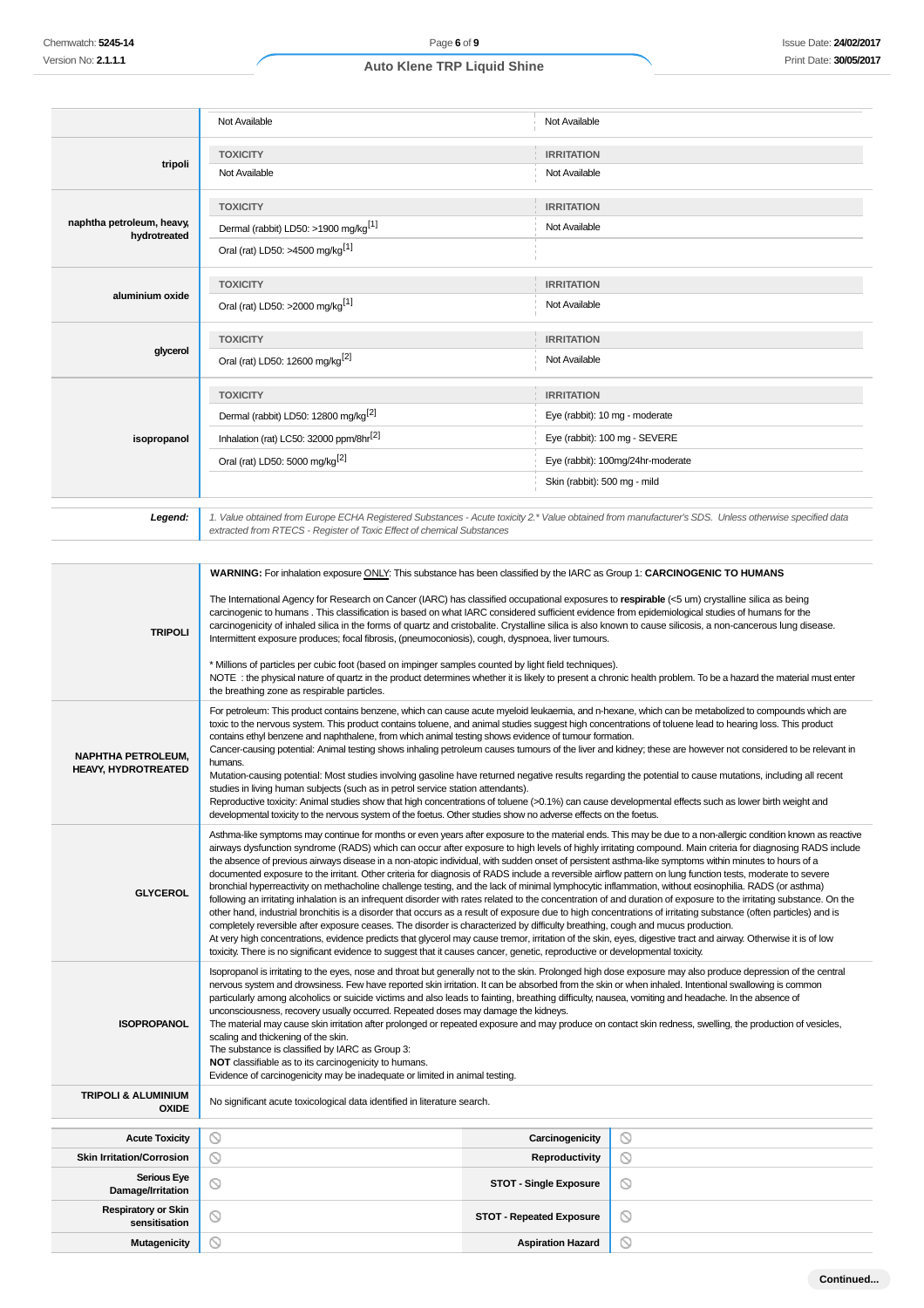|                                                                                                                                                                                                                                                                                                                         | Not Available                                                                                                                                                                                                                                                                                                                                                                                                                                                                                                                                                                                                                                                                                                                                                       | Not Available                     |  |  |
|-------------------------------------------------------------------------------------------------------------------------------------------------------------------------------------------------------------------------------------------------------------------------------------------------------------------------|---------------------------------------------------------------------------------------------------------------------------------------------------------------------------------------------------------------------------------------------------------------------------------------------------------------------------------------------------------------------------------------------------------------------------------------------------------------------------------------------------------------------------------------------------------------------------------------------------------------------------------------------------------------------------------------------------------------------------------------------------------------------|-----------------------------------|--|--|
|                                                                                                                                                                                                                                                                                                                         | <b>TOXICITY</b>                                                                                                                                                                                                                                                                                                                                                                                                                                                                                                                                                                                                                                                                                                                                                     | <b>IRRITATION</b>                 |  |  |
| tripoli                                                                                                                                                                                                                                                                                                                 | Not Available                                                                                                                                                                                                                                                                                                                                                                                                                                                                                                                                                                                                                                                                                                                                                       | Not Available                     |  |  |
|                                                                                                                                                                                                                                                                                                                         | <b>TOXICITY</b>                                                                                                                                                                                                                                                                                                                                                                                                                                                                                                                                                                                                                                                                                                                                                     | <b>IRRITATION</b>                 |  |  |
| naphtha petroleum, heavy,<br>hydrotreated                                                                                                                                                                                                                                                                               | Dermal (rabbit) LD50: >1900 mg/kg <sup>[1]</sup>                                                                                                                                                                                                                                                                                                                                                                                                                                                                                                                                                                                                                                                                                                                    | Not Available                     |  |  |
|                                                                                                                                                                                                                                                                                                                         | Oral (rat) LD50: >4500 mg/kg <sup>[1]</sup>                                                                                                                                                                                                                                                                                                                                                                                                                                                                                                                                                                                                                                                                                                                         |                                   |  |  |
|                                                                                                                                                                                                                                                                                                                         | <b>TOXICITY</b>                                                                                                                                                                                                                                                                                                                                                                                                                                                                                                                                                                                                                                                                                                                                                     | <b>IRRITATION</b>                 |  |  |
| aluminium oxide                                                                                                                                                                                                                                                                                                         | Oral (rat) LD50: >2000 mg/kg <sup>[1]</sup>                                                                                                                                                                                                                                                                                                                                                                                                                                                                                                                                                                                                                                                                                                                         | Not Available                     |  |  |
|                                                                                                                                                                                                                                                                                                                         | <b>TOXICITY</b>                                                                                                                                                                                                                                                                                                                                                                                                                                                                                                                                                                                                                                                                                                                                                     | <b>IRRITATION</b>                 |  |  |
| glycerol                                                                                                                                                                                                                                                                                                                | Oral (rat) LD50: 12600 mg/kg <sup>[2]</sup>                                                                                                                                                                                                                                                                                                                                                                                                                                                                                                                                                                                                                                                                                                                         | Not Available                     |  |  |
|                                                                                                                                                                                                                                                                                                                         | <b>TOXICITY</b>                                                                                                                                                                                                                                                                                                                                                                                                                                                                                                                                                                                                                                                                                                                                                     | <b>IRRITATION</b>                 |  |  |
|                                                                                                                                                                                                                                                                                                                         | Dermal (rabbit) LD50: 12800 mg/kg <sup>[2]</sup>                                                                                                                                                                                                                                                                                                                                                                                                                                                                                                                                                                                                                                                                                                                    | Eye (rabbit): 10 mg - moderate    |  |  |
| isopropanol                                                                                                                                                                                                                                                                                                             | Inhalation (rat) LC50: 32000 ppm/8hr <sup>[2]</sup>                                                                                                                                                                                                                                                                                                                                                                                                                                                                                                                                                                                                                                                                                                                 | Eye (rabbit): 100 mg - SEVERE     |  |  |
|                                                                                                                                                                                                                                                                                                                         | Oral (rat) LD50: 5000 mg/kg <sup>[2]</sup>                                                                                                                                                                                                                                                                                                                                                                                                                                                                                                                                                                                                                                                                                                                          | Eye (rabbit): 100mg/24hr-moderate |  |  |
|                                                                                                                                                                                                                                                                                                                         |                                                                                                                                                                                                                                                                                                                                                                                                                                                                                                                                                                                                                                                                                                                                                                     | Skin (rabbit): 500 mg - mild      |  |  |
| Legend:                                                                                                                                                                                                                                                                                                                 | 1. Value obtained from Europe ECHA Registered Substances - Acute toxicity 2.* Value obtained from manufacturer's SDS. Unless otherwise specified data<br>extracted from RTECS - Register of Toxic Effect of chemical Substances                                                                                                                                                                                                                                                                                                                                                                                                                                                                                                                                     |                                   |  |  |
|                                                                                                                                                                                                                                                                                                                         | WARNING: For inhalation exposure ONLY: This substance has been classified by the IARC as Group 1: CARCINOGENIC TO HUMANS                                                                                                                                                                                                                                                                                                                                                                                                                                                                                                                                                                                                                                            |                                   |  |  |
| <b>TRIPOLI</b>                                                                                                                                                                                                                                                                                                          | The International Agency for Research on Cancer (IARC) has classified occupational exposures to respirable (<5 um) crystalline silica as being<br>carcinogenic to humans. This classification is based on what IARC considered sufficient evidence from epidemiological studies of humans for the<br>carcinogenicity of inhaled silica in the forms of quartz and cristobalite. Crystalline silica is also known to cause silicosis, a non-cancerous lung disease.<br>Intermittent exposure produces; focal fibrosis, (pneumoconiosis), cough, dyspnoea, liver tumours.                                                                                                                                                                                             |                                   |  |  |
| * Millions of particles per cubic foot (based on impinger samples counted by light field techniques).<br>NOTE : the physical nature of quartz in the product determines whether it is likely to present a chronic health problem. To be a hazard the material must enter<br>the breathing zone as respirable particles. |                                                                                                                                                                                                                                                                                                                                                                                                                                                                                                                                                                                                                                                                                                                                                                     |                                   |  |  |
| <b>NAPHTHA PETROLEUM.</b><br><b>HEAVY, HYDROTREATED</b>                                                                                                                                                                                                                                                                 | For petroleum: This product contains benzene, which can cause acute myeloid leukaemia, and n-hexane, which can be metabolized to compounds which are<br>toxic to the nervous system. This product contains toluene, and animal studies suggest high concentrations of toluene lead to hearing loss. This product<br>contains ethyl benzene and naphthalene, from which animal testing shows evidence of tumour formation.<br>Cancer-causing potential: Animal testing shows inhaling petroleum causes tumours of the liver and kidney; these are however not considered to be relevant in<br>humans.<br>Mutation-causing potential: Most studies involving gasoline have returned negative results regarding the potential to cause mutations, including all recent |                                   |  |  |

| <b>NAPHTHA PETROLEUM.</b><br><b>HEAVY, HYDROTREATED</b> | toxic to the nervous system. This product contains toluene, and animal studies suggest high concentrations of toluene lead to hearing loss. This product<br>contains ethyl benzene and naphthalene, from which animal testing shows evidence of tumour formation.<br>Cancer-causing potential: Animal testing shows inhaling petroleum causes tumours of the liver and kidney; these are however not considered to be relevant in<br>humans.<br>Mutation-causing potential: Most studies involving gasoline have returned negative results regarding the potential to cause mutations, including all recent<br>studies in living human subjects (such as in petrol service station attendants).<br>Reproductive toxicity: Animal studies show that high concentrations of toluene (>0.1%) can cause developmental effects such as lower birth weight and<br>developmental toxicity to the nervous system of the foetus. Other studies show no adverse effects on the foetus.                                                                                                                                                                                                                                                                                                                                                                                                                                                                                                                                                                                                                 |                                 |                |  |  |
|---------------------------------------------------------|----------------------------------------------------------------------------------------------------------------------------------------------------------------------------------------------------------------------------------------------------------------------------------------------------------------------------------------------------------------------------------------------------------------------------------------------------------------------------------------------------------------------------------------------------------------------------------------------------------------------------------------------------------------------------------------------------------------------------------------------------------------------------------------------------------------------------------------------------------------------------------------------------------------------------------------------------------------------------------------------------------------------------------------------------------------------------------------------------------------------------------------------------------------------------------------------------------------------------------------------------------------------------------------------------------------------------------------------------------------------------------------------------------------------------------------------------------------------------------------------------------------------------------------------------------------------------------------------|---------------------------------|----------------|--|--|
| <b>GLYCEROL</b>                                         | Asthma-like symptoms may continue for months or even years after exposure to the material ends. This may be due to a non-allergic condition known as reactive<br>airways dysfunction syndrome (RADS) which can occur after exposure to high levels of highly irritating compound. Main criteria for diagnosing RADS include<br>the absence of previous airways disease in a non-atopic individual, with sudden onset of persistent asthma-like symptoms within minutes to hours of a<br>documented exposure to the irritant. Other criteria for diagnosis of RADS include a reversible airflow pattern on lung function tests, moderate to severe<br>bronchial hyperreactivity on methacholine challenge testing, and the lack of minimal lymphocytic inflammation, without eosinophilia. RADS (or asthma)<br>following an irritating inhalation is an infrequent disorder with rates related to the concentration of and duration of exposure to the irritating substance. On the<br>other hand, industrial bronchitis is a disorder that occurs as a result of exposure due to high concentrations of irritating substance (often particles) and is<br>completely reversible after exposure ceases. The disorder is characterized by difficulty breathing, cough and mucus production.<br>At very high concentrations, evidence predicts that glycerol may cause tremor, irritation of the skin, eyes, digestive tract and airway. Otherwise it is of low<br>toxicity. There is no significant evidence to suggest that it causes cancer, genetic, reproductive or developmental toxicity. |                                 |                |  |  |
| <b>ISOPROPANOL</b>                                      | Isopropanol is irritating to the eyes, nose and throat but generally not to the skin. Prolonged high dose exposure may also produce depression of the central<br>nervous system and drowsiness. Few have reported skin irritation. It can be absorbed from the skin or when inhaled. Intentional swallowing is common<br>particularly among alcoholics or suicide victims and also leads to fainting, breathing difficulty, nausea, vomiting and headache. In the absence of<br>unconsciousness, recovery usually occurred. Repeated doses may damage the kidneys.<br>The material may cause skin irritation after prolonged or repeated exposure and may produce on contact skin redness, swelling, the production of vesicles,<br>scaling and thickening of the skin.<br>The substance is classified by IARC as Group 3:<br>NOT classifiable as to its carcinogenicity to humans.<br>Evidence of carcinogenicity may be inadequate or limited in animal testing.                                                                                                                                                                                                                                                                                                                                                                                                                                                                                                                                                                                                                           |                                 |                |  |  |
| <b>TRIPOLI &amp; ALUMINIUM</b><br><b>OXIDE</b>          | No significant acute toxicological data identified in literature search.                                                                                                                                                                                                                                                                                                                                                                                                                                                                                                                                                                                                                                                                                                                                                                                                                                                                                                                                                                                                                                                                                                                                                                                                                                                                                                                                                                                                                                                                                                                     |                                 |                |  |  |
|                                                         |                                                                                                                                                                                                                                                                                                                                                                                                                                                                                                                                                                                                                                                                                                                                                                                                                                                                                                                                                                                                                                                                                                                                                                                                                                                                                                                                                                                                                                                                                                                                                                                              |                                 |                |  |  |
| <b>Acute Toxicity</b>                                   | $\circledcirc$                                                                                                                                                                                                                                                                                                                                                                                                                                                                                                                                                                                                                                                                                                                                                                                                                                                                                                                                                                                                                                                                                                                                                                                                                                                                                                                                                                                                                                                                                                                                                                               | Carcinogenicity                 | $\circledcirc$ |  |  |
| <b>Skin Irritation/Corrosion</b>                        | $\circledcirc$                                                                                                                                                                                                                                                                                                                                                                                                                                                                                                                                                                                                                                                                                                                                                                                                                                                                                                                                                                                                                                                                                                                                                                                                                                                                                                                                                                                                                                                                                                                                                                               | Reproductivity                  | ◎              |  |  |
| <b>Serious Eye</b><br>Damage/Irritation                 | $\circledcirc$                                                                                                                                                                                                                                                                                                                                                                                                                                                                                                                                                                                                                                                                                                                                                                                                                                                                                                                                                                                                                                                                                                                                                                                                                                                                                                                                                                                                                                                                                                                                                                               | <b>STOT - Single Exposure</b>   | $\circledcirc$ |  |  |
| <b>Respiratory or Skin</b><br>sensitisation             | $\circledcirc$                                                                                                                                                                                                                                                                                                                                                                                                                                                                                                                                                                                                                                                                                                                                                                                                                                                                                                                                                                                                                                                                                                                                                                                                                                                                                                                                                                                                                                                                                                                                                                               | <b>STOT - Repeated Exposure</b> | $\circledcirc$ |  |  |

 $\circlearrowright$ 

**Mutagenicity CONSIDERENT CONSIDERED ASPIRation Hazard**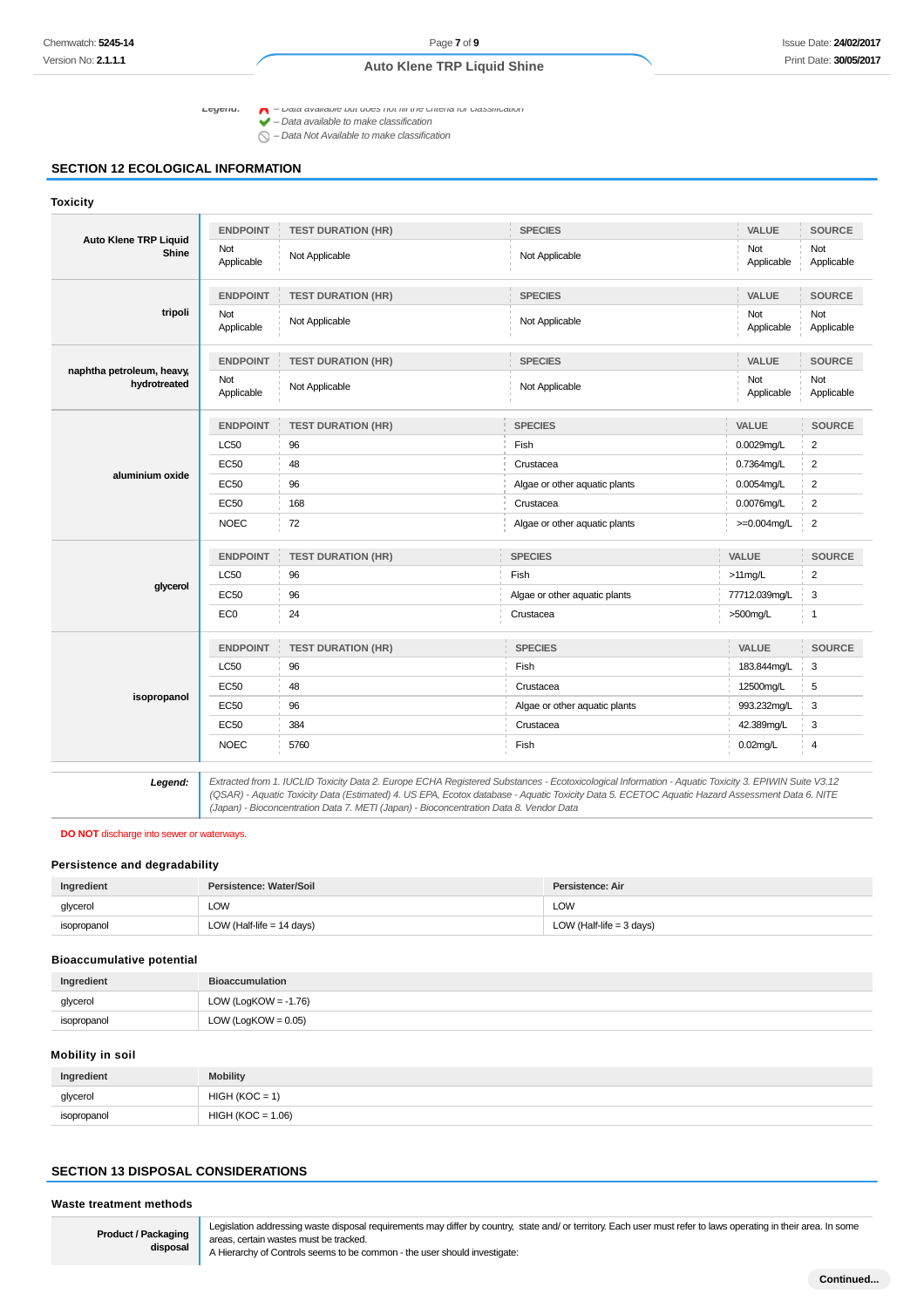Legend:  $\bigcap$  - Data available but does not fill the criteria for classification

 $\blacktriangleright$  – Data available to make classification

 $\bigcirc$  – Data Not Available to make classification

### **SECTION 12 ECOLOGICAL INFORMATION**

#### **Toxicity Auto Klene TRP Liquid Shine ENDPOINT TEST DURATION (HR) SPECIES VALUE SOURCE** Not<br>Applicable Applicable Not Applicable Not Applicable Not Applicable Not Applicable **tripoli ENDPOINT TEST DURATION (HR) SPECIES VALUE SOURCE** Not Applicable Not Applicable Not Applicable Not Applicable Not Applicable **naphtha petroleum, heavy, hydrotreated ENDPOINT TEST DURATION (HR) SPECIES VALUE SOURCE** Not<br>Applicable Applicable Not Applicable Not Applicable Not Applicable Not Applicable **aluminium oxide ENDPOINT TEST DURATION (HR) SPECIES VALUE SOURCE** LC50 96 Fish 0.0029mg/L 2 EC50 48 Crustacea 0.7364mg/L 2 EC50 96 Block and the set of the Algae or other aquatic plants and the December 20054mg/L 2 EC50 168 Crustacea 0.0076mg/L 2 NOEC 72 Algae or other aquatic plants  $\rightarrow$ =0.004mg/L 2 **glycerol ENDPOINT TEST DURATION (HR) SPECIES VALUE SOURCE**  $\sim$  LC50  $\sim$  96 Fish  $\sim$  96 Fish  $\sim$  2 EC50 96 96 Algae or other aquatic plants 77712.039mg/L 3 EC0 24 Crustacea >500mg/L 1 **isopropanol ENDPOINT TEST DURATION (HR) SPECIES VALUE SOURCE** LC50 96 Fish 183.844mg/L 3 EC50 48 Crustacea 12500mg/L 5 EC50 993.232mg/L 3 EC50 384 Crustacea 42.389mg/L 3 NOEC 5760 Fish 0.02mg/L 4 **Legend:** Extracted from 1. IUCLID Toxicity Data 2. Europe ECHA Registered Substances - Ecotoxicological Information - Aquatic Toxicity 3. EPIWIN Suite V3.12

(QSAR) - Aquatic Toxicity Data (Estimated) 4. US EPA, Ecotox database - Aquatic Toxicity Data 5. ECETOC Aquatic Hazard Assessment Data 6. NITE (Japan) - Bioconcentration Data 7. METI (Japan) - Bioconcentration Data 8. Vendor Data

#### **DO NOT** discharge into sewer or waterways.

#### **Persistence and degradability**

| Ingredient  | Persistence: Water/Soil     | Persistence: Air           |
|-------------|-----------------------------|----------------------------|
| glycerol    | LOW                         | LOW                        |
| isopropanol | LOW (Half-life $= 14$ days) | LOW (Half-life $=$ 3 days) |

#### **Bioaccumulative potential**

| Ingredient  | <b>Bioaccumulation</b>  |
|-------------|-------------------------|
| glycerol    | LOW (LogKOW = $-1.76$ ) |
| isopropanol | LOW (LogKOW = $0.05$ )  |

#### **Mobility in soil**

| Ingredient  | <b>Mobility</b>     |
|-------------|---------------------|
| glycerol    | $HIGH (KOC = 1)$    |
| isopropanol | $HIGH (KOC = 1.06)$ |

# **SECTION 13 DISPOSAL CONSIDERATIONS**

**Waste treatment methods**

**Product / Packaging disposal** Legislation addressing waste disposal requirements may differ by country, state and/ or territory. Each user must refer to laws operating in their area. In some areas, certain wastes must be tracked.

A Hierarchy of Controls seems to be common - the user should investigate: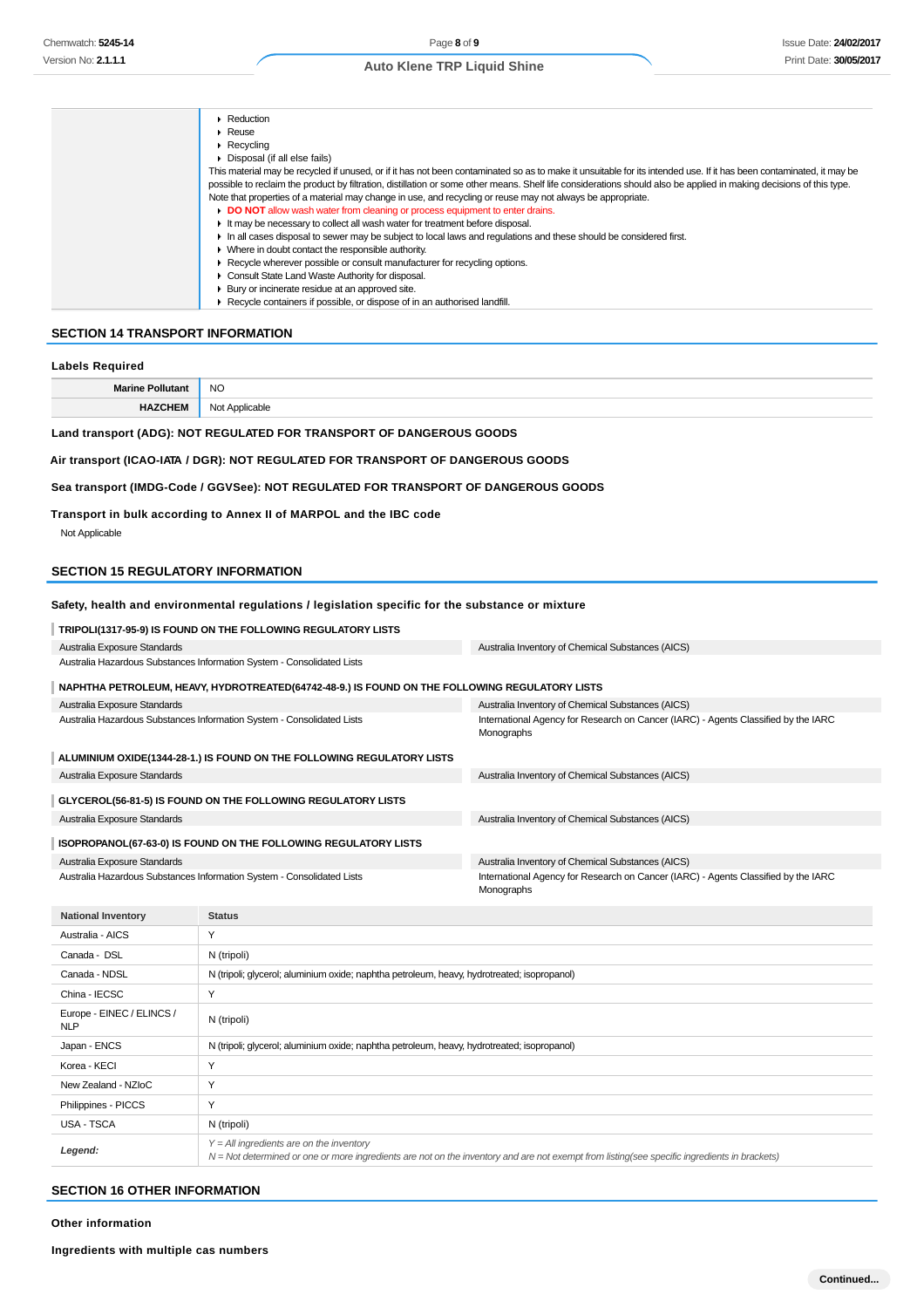| $\blacktriangleright$ Reduction                                                                                                                                      |
|----------------------------------------------------------------------------------------------------------------------------------------------------------------------|
| $\triangleright$ Reuse                                                                                                                                               |
| $\blacktriangleright$ Recvoling                                                                                                                                      |
| • Disposal (if all else fails)                                                                                                                                       |
| This material may be recycled if unused, or if it has not been contaminated so as to make it unsuitable for its intended use. If it has been contaminated, it may be |
| possible to reclaim the product by filtration, distillation or some other means. Shelf life considerations should also be applied in making decisions of this type.  |
| Note that properties of a material may change in use, and recycling or reuse may not always be appropriate.                                                          |
| DO NOT allow wash water from cleaning or process equipment to enter drains.                                                                                          |
| It may be necessary to collect all wash water for treatment before disposal.                                                                                         |
| In all cases disposal to sewer may be subject to local laws and regulations and these should be considered first.                                                    |
| • Where in doubt contact the responsible authority.                                                                                                                  |
| ▶ Recycle wherever possible or consult manufacturer for recycling options.                                                                                           |
| • Consult State Land Waste Authority for disposal.                                                                                                                   |
| ▶ Bury or incinerate residue at an approved site.                                                                                                                    |
| ▶ Recycle containers if possible, or dispose of in an authorised landfill.                                                                                           |

# **SECTION 14 TRANSPORT INFORMATION**

# **Labels Required**

| м. | <br>้<br>__ |
|----|-------------|
|    |             |
|    |             |

# **Land transport (ADG): NOT REGULATED FOR TRANSPORT OF DANGEROUS GOODS**

## **Air transport (ICAO-IATA / DGR): NOT REGULATED FOR TRANSPORT OF DANGEROUS GOODS**

## **Sea transport (IMDG-Code / GGVSee): NOT REGULATED FOR TRANSPORT OF DANGEROUS GOODS**

**Transport in bulk according to Annex II of MARPOL and the IBC code**

Not Applicable

# **SECTION 15 REGULATORY INFORMATION**

# **Safety, health and environmental regulations / legislation specific for the substance or mixture**

| TRIPOLI(1317-95-9) IS FOUND ON THE FOLLOWING REGULATORY LISTS                                  |                                                                                                  |
|------------------------------------------------------------------------------------------------|--------------------------------------------------------------------------------------------------|
| Australia Exposure Standards                                                                   | Australia Inventory of Chemical Substances (AICS)                                                |
| Australia Hazardous Substances Information System - Consolidated Lists                         |                                                                                                  |
| NAPHTHA PETROLEUM, HEAVY, HYDROTREATED(64742-48-9.) IS FOUND ON THE FOLLOWING REGULATORY LISTS |                                                                                                  |
| Australia Exposure Standards                                                                   | Australia Inventory of Chemical Substances (AICS)                                                |
| Australia Hazardous Substances Information System - Consolidated Lists                         | International Agency for Research on Cancer (IARC) - Agents Classified by the IARC<br>Monographs |
| ALUMINIUM OXIDE(1344-28-1.) IS FOUND ON THE FOLLOWING REGULATORY LISTS                         |                                                                                                  |
| Australia Exposure Standards                                                                   | Australia Inventory of Chemical Substances (AICS)                                                |
| GLYCEROL(56-81-5) IS FOUND ON THE FOLLOWING REGULATORY LISTS                                   |                                                                                                  |
| Australia Exposure Standards                                                                   | Australia Inventory of Chemical Substances (AICS)                                                |
| ISOPROPANOL(67-63-0) IS FOUND ON THE FOLLOWING REGULATORY LISTS                                |                                                                                                  |
| Australia Exposure Standards                                                                   | Australia Inventory of Chemical Substances (AICS)                                                |
| Australia Hazardous Substances Information System - Consolidated Lists                         | International Agency for Research on Cancer (IARC) - Agents Classified by the IARC<br>Monographs |

| <b>National Inventory</b>               | <b>Status</b>                                                                                                                                                                                |
|-----------------------------------------|----------------------------------------------------------------------------------------------------------------------------------------------------------------------------------------------|
| Australia - AICS                        | $\checkmark$                                                                                                                                                                                 |
| Canada - DSL                            | N (tripoli)                                                                                                                                                                                  |
| Canada - NDSL                           | N (tripoli; glycerol; aluminium oxide; naphtha petroleum, heavy, hydrotreated; isopropanol)                                                                                                  |
| China - IECSC                           | $\checkmark$                                                                                                                                                                                 |
| Europe - EINEC / ELINCS /<br><b>NLP</b> | N (tripoli)                                                                                                                                                                                  |
| Japan - ENCS                            | N (tripoli; glycerol; aluminium oxide; naphtha petroleum, heavy, hydrotreated; isopropanol)                                                                                                  |
| Korea - KECI                            | Y                                                                                                                                                                                            |
| New Zealand - NZIoC                     | Υ                                                                                                                                                                                            |
| Philippines - PICCS                     | Y                                                                                                                                                                                            |
| USA - TSCA                              | N (tripoli)                                                                                                                                                                                  |
| Legend:                                 | $Y = All$ ingredients are on the inventory<br>$N = Not$ determined or one or more ingredients are not on the inventory and are not exempt from listing(see specific ingredients in brackets) |

## **SECTION 16 OTHER INFORMATION**

**Other information**